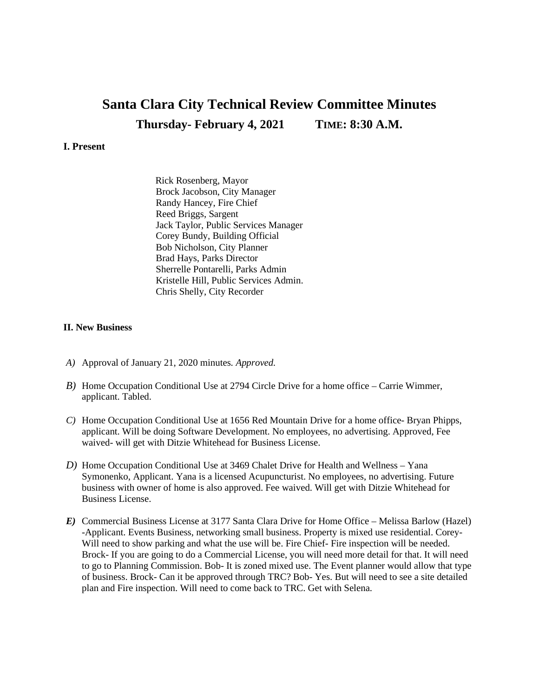## **Santa Clara City Technical Review Committee Minutes Thursday- February 4, 2021 TIME: 8:30 A.M.**

## **I. Present**

Rick Rosenberg, Mayor Brock Jacobson, City Manager Randy Hancey, Fire Chief Reed Briggs, Sargent Jack Taylor, Public Services Manager Corey Bundy, Building Official Bob Nicholson, City Planner Brad Hays, Parks Director Sherrelle Pontarelli, Parks Admin Kristelle Hill, Public Services Admin. Chris Shelly, City Recorder

## **II. New Business**

- *A)* Approval of January 21, 2020 minutes*. Approved.*
- *B)* Home Occupation Conditional Use at 2794 Circle Drive for a home office Carrie Wimmer, applicant. Tabled.
- *C)* Home Occupation Conditional Use at 1656 Red Mountain Drive for a home office- Bryan Phipps, applicant. Will be doing Software Development. No employees, no advertising. Approved, Fee waived- will get with Ditzie Whitehead for Business License.
- *D)* Home Occupation Conditional Use at 3469 Chalet Drive for Health and Wellness Yana Symonenko, Applicant. Yana is a licensed Acupuncturist. No employees, no advertising. Future business with owner of home is also approved. Fee waived. Will get with Ditzie Whitehead for Business License.
- *E)* Commercial Business License at 3177 Santa Clara Drive for Home Office Melissa Barlow (Hazel) -Applicant. Events Business, networking small business. Property is mixed use residential. Corey-Will need to show parking and what the use will be. Fire Chief- Fire inspection will be needed. Brock- If you are going to do a Commercial License, you will need more detail for that. It will need to go to Planning Commission. Bob- It is zoned mixed use. The Event planner would allow that type of business. Brock- Can it be approved through TRC? Bob- Yes. But will need to see a site detailed plan and Fire inspection. Will need to come back to TRC. Get with Selena.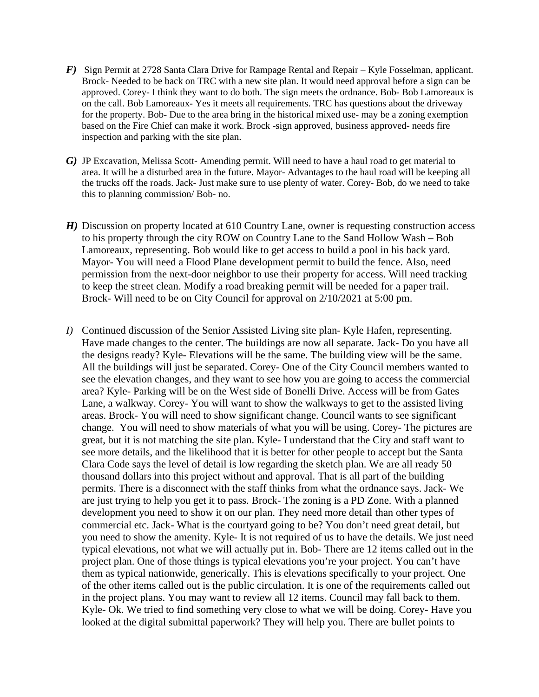- *F)* Sign Permit at 2728 Santa Clara Drive for Rampage Rental and Repair Kyle Fosselman, applicant. Brock- Needed to be back on TRC with a new site plan. It would need approval before a sign can be approved. Corey- I think they want to do both. The sign meets the ordnance. Bob- Bob Lamoreaux is on the call. Bob Lamoreaux- Yes it meets all requirements. TRC has questions about the driveway for the property. Bob- Due to the area bring in the historical mixed use- may be a zoning exemption based on the Fire Chief can make it work. Brock -sign approved, business approved- needs fire inspection and parking with the site plan.
- *G*) JP Excavation, Melissa Scott- Amending permit. Will need to have a haul road to get material to area. It will be a disturbed area in the future. Mayor- Advantages to the haul road will be keeping all the trucks off the roads. Jack- Just make sure to use plenty of water. Corey- Bob, do we need to take this to planning commission/ Bob- no.
- *H*) Discussion on property located at 610 Country Lane, owner is requesting construction access to his property through the city ROW on Country Lane to the Sand Hollow Wash – Bob Lamoreaux, representing. Bob would like to get access to build a pool in his back yard. Mayor- You will need a Flood Plane development permit to build the fence. Also, need permission from the next-door neighbor to use their property for access. Will need tracking to keep the street clean. Modify a road breaking permit will be needed for a paper trail. Brock- Will need to be on City Council for approval on 2/10/2021 at 5:00 pm.
- *I)* Continued discussion of the Senior Assisted Living site plan- Kyle Hafen, representing. Have made changes to the center. The buildings are now all separate. Jack- Do you have all the designs ready? Kyle- Elevations will be the same. The building view will be the same. All the buildings will just be separated. Corey- One of the City Council members wanted to see the elevation changes, and they want to see how you are going to access the commercial area? Kyle- Parking will be on the West side of Bonelli Drive. Access will be from Gates Lane, a walkway. Corey- You will want to show the walkways to get to the assisted living areas. Brock- You will need to show significant change. Council wants to see significant change. You will need to show materials of what you will be using. Corey- The pictures are great, but it is not matching the site plan. Kyle- I understand that the City and staff want to see more details, and the likelihood that it is better for other people to accept but the Santa Clara Code says the level of detail is low regarding the sketch plan. We are all ready 50 thousand dollars into this project without and approval. That is all part of the building permits. There is a disconnect with the staff thinks from what the ordnance says. Jack- We are just trying to help you get it to pass. Brock- The zoning is a PD Zone. With a planned development you need to show it on our plan. They need more detail than other types of commercial etc. Jack- What is the courtyard going to be? You don't need great detail, but you need to show the amenity. Kyle- It is not required of us to have the details. We just need typical elevations, not what we will actually put in. Bob- There are 12 items called out in the project plan. One of those things is typical elevations you're your project. You can't have them as typical nationwide, generically. This is elevations specifically to your project. One of the other items called out is the public circulation. It is one of the requirements called out in the project plans. You may want to review all 12 items. Council may fall back to them. Kyle- Ok. We tried to find something very close to what we will be doing. Corey- Have you looked at the digital submittal paperwork? They will help you. There are bullet points to